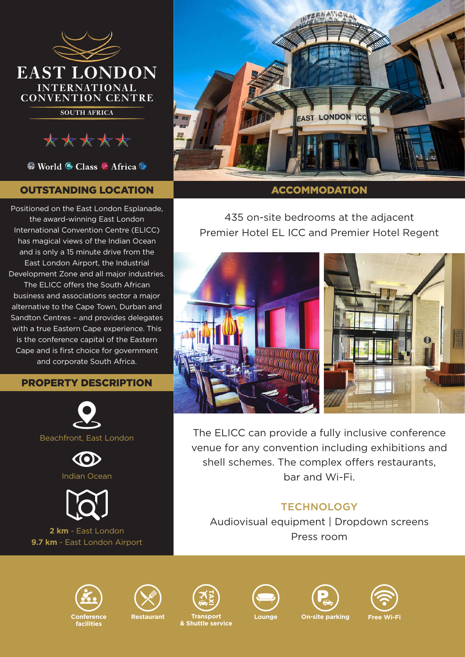

**SOUTH AFRICA**

\*\*\*\*\*

● World ● Class ● Africa ●

# OUTSTANDING LOCATION

Positioned on the East London Esplanade, the award-winning East London International Convention Centre (ELICC) has magical views of the Indian Ocean and is only a 15 minute drive from the East London Airport, the Industrial Development Zone and all major industries. The ELICC offers the South African business and associations sector a major alternative to the Cape Town, Durban and Sandton Centres – and provides delegates with a true Eastern Cape experience. This is the conference capital of the Eastern Cape and is first choice for government and corporate South Africa.

## PROPERTY DESCRIPTION







**2 km** - East London **9.7 km** - East London Airport



## ACCOMMODATION

435 on-site bedrooms at the adjacent Premier Hotel EL ICC and Premier Hotel Regent



The ELICC can provide a fully inclusive conference venue for any convention including exhibitions and shell schemes. The complex offers restaurants, bar and Wi-Fi.

## **TECHNOLOGY**

Audiovisual equipment | Dropdown screens Press room













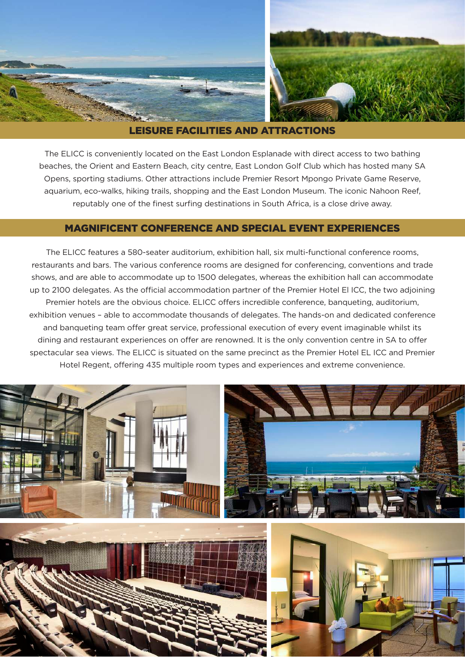

#### LEISURE FACILITIES AND ATTRACTIONS

The ELICC is conveniently located on the East London Esplanade with direct access to two bathing beaches, the Orient and Eastern Beach, city centre, East London Golf Club which has hosted many SA Opens, sporting stadiums. Other attractions include Premier Resort Mpongo Private Game Reserve, aquarium, eco-walks, hiking trails, shopping and the East London Museum. The iconic Nahoon Reef, reputably one of the finest surfing destinations in South Africa, is a close drive away.

#### MAGNIFICENT CONFERENCE AND SPECIAL EVENT EXPERIENCES

The ELICC features a 580-seater auditorium, exhibition hall, six multi-functional conference rooms, restaurants and bars. The various conference rooms are designed for conferencing, conventions and trade shows, and are able to accommodate up to 1500 delegates, whereas the exhibition hall can accommodate up to 2100 delegates. As the official accommodation partner of the Premier Hotel El ICC, the two adjoining Premier hotels are the obvious choice. ELICC offers incredible conference, banqueting, auditorium, exhibition venues – able to accommodate thousands of delegates. The hands-on and dedicated conference and banqueting team offer great service, professional execution of every event imaginable whilst its dining and restaurant experiences on offer are renowned. It is the only convention centre in SA to offer spectacular sea views. The ELICC is situated on the same precinct as the Premier Hotel EL ICC and Premier Hotel Regent, offering 435 multiple room types and experiences and extreme convenience.